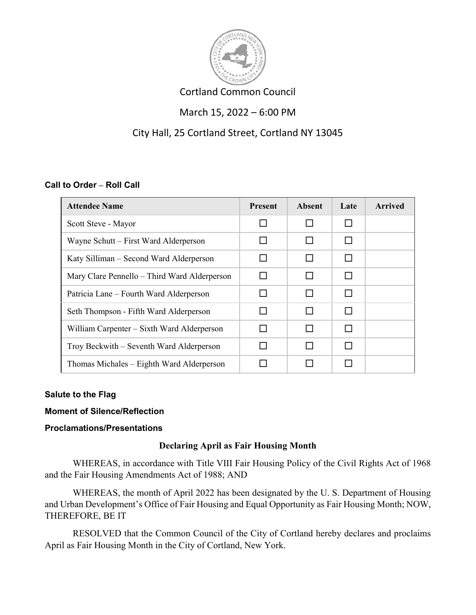

# Cortland Common Council

# March 15, 2022 – 6:00 PM

# City Hall, 25 Cortland Street, Cortland NY 13045

## **Call to Order – Roll Call**

| <b>Attendee Name</b>                         | <b>Present</b> | Absent       | Late | <b>Arrived</b> |
|----------------------------------------------|----------------|--------------|------|----------------|
| Scott Steve - Mayor                          |                |              |      |                |
| Wayne Schutt – First Ward Alderperson        |                |              |      |                |
| Katy Silliman – Second Ward Alderperson      |                |              |      |                |
| Mary Clare Pennello – Third Ward Alderperson |                |              |      |                |
| Patricia Lane – Fourth Ward Alderperson      |                | $\Box$       |      |                |
| Seth Thompson - Fifth Ward Alderperson       |                | $\mathsf{L}$ |      |                |
| William Carpenter - Sixth Ward Alderperson   |                |              |      |                |
| Troy Beckwith – Seventh Ward Alderperson     |                |              |      |                |
| Thomas Michales – Eighth Ward Alderperson    |                |              |      |                |

## **Salute to the Flag**

## **Moment of Silence/Reflection**

## **Proclamations/Presentations**

## **Declaring April as Fair Housing Month**

WHEREAS, in accordance with Title VIII Fair Housing Policy of the Civil Rights Act of 1968 and the Fair Housing Amendments Act of 1988; AND

WHEREAS, the month of April 2022 has been designated by the U. S. Department of Housing and Urban Development's Office of Fair Housing and Equal Opportunity as Fair Housing Month; NOW, THEREFORE, BE IT

RESOLVED that the Common Council of the City of Cortland hereby declares and proclaims April as Fair Housing Month in the City of Cortland, New York.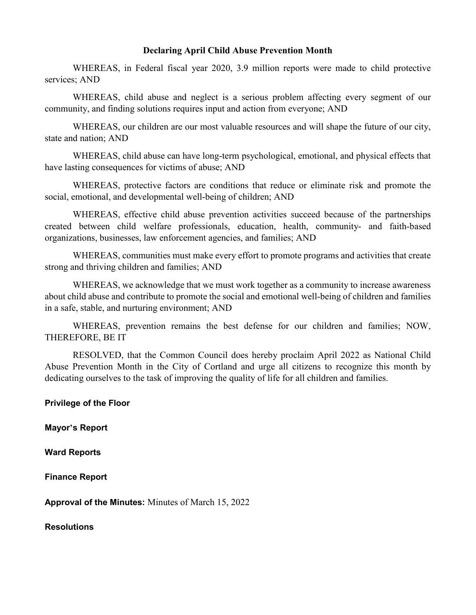### **Declaring April Child Abuse Prevention Month**

WHEREAS, in Federal fiscal year 2020, 3.9 million reports were made to child protective services; AND

WHEREAS, child abuse and neglect is a serious problem affecting every segment of our community, and finding solutions requires input and action from everyone; AND

WHEREAS, our children are our most valuable resources and will shape the future of our city, state and nation; AND

WHEREAS, child abuse can have long-term psychological, emotional, and physical effects that have lasting consequences for victims of abuse; AND

WHEREAS, protective factors are conditions that reduce or eliminate risk and promote the social, emotional, and developmental well-being of children; AND

WHEREAS, effective child abuse prevention activities succeed because of the partnerships created between child welfare professionals, education, health, community- and faith-based organizations, businesses, law enforcement agencies, and families; AND

WHEREAS, communities must make every effort to promote programs and activities that create strong and thriving children and families; AND

WHEREAS, we acknowledge that we must work together as a community to increase awareness about child abuse and contribute to promote the social and emotional well‐being of children and families in a safe, stable, and nurturing environment; AND

WHEREAS, prevention remains the best defense for our children and families; NOW, THEREFORE, BE IT

RESOLVED, that the Common Council does hereby proclaim April 2022 as National Child Abuse Prevention Month in the City of Cortland and urge all citizens to recognize this month by dedicating ourselves to the task of improving the quality of life for all children and families.

**Privilege of the Floor** 

**Mayor's Report**

**Ward Reports**

**Finance Report** 

**Approval of the Minutes:** Minutes of March 15, 2022

**Resolutions**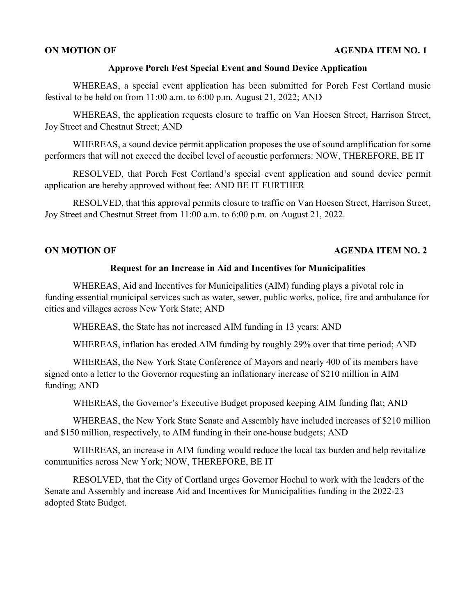### **ON MOTION OF AGENDA ITEM NO. 1**

### **Approve Porch Fest Special Event and Sound Device Application**

WHEREAS, a special event application has been submitted for Porch Fest Cortland music festival to be held on from 11:00 a.m. to 6:00 p.m. August 21, 2022; AND

WHEREAS, the application requests closure to traffic on Van Hoesen Street, Harrison Street, Joy Street and Chestnut Street; AND

WHEREAS, a sound device permit application proposes the use of sound amplification for some performers that will not exceed the decibel level of acoustic performers: NOW, THEREFORE, BE IT

RESOLVED, that Porch Fest Cortland's special event application and sound device permit application are hereby approved without fee: AND BE IT FURTHER

RESOLVED, that this approval permits closure to traffic on Van Hoesen Street, Harrison Street, Joy Street and Chestnut Street from 11:00 a.m. to 6:00 p.m. on August 21, 2022.

## **ON MOTION OF AGENDA ITEM NO. 2**

### **Request for an Increase in Aid and Incentives for Municipalities**

WHEREAS, Aid and Incentives for Municipalities (AIM) funding plays a pivotal role in funding essential municipal services such as water, sewer, public works, police, fire and ambulance for cities and villages across New York State; AND

WHEREAS, the State has not increased AIM funding in 13 years: AND

WHEREAS, inflation has eroded AIM funding by roughly 29% over that time period; AND

WHEREAS, the New York State Conference of Mayors and nearly 400 of its members have signed onto a letter to the Governor requesting an inflationary increase of \$210 million in AIM funding; AND

WHEREAS, the Governor's Executive Budget proposed keeping AIM funding flat; AND

WHEREAS, the New York State Senate and Assembly have included increases of \$210 million and \$150 million, respectively, to AIM funding in their one-house budgets; AND

WHEREAS, an increase in AIM funding would reduce the local tax burden and help revitalize communities across New York; NOW, THEREFORE, BE IT

RESOLVED, that the City of Cortland urges Governor Hochul to work with the leaders of the Senate and Assembly and increase Aid and Incentives for Municipalities funding in the 2022-23 adopted State Budget.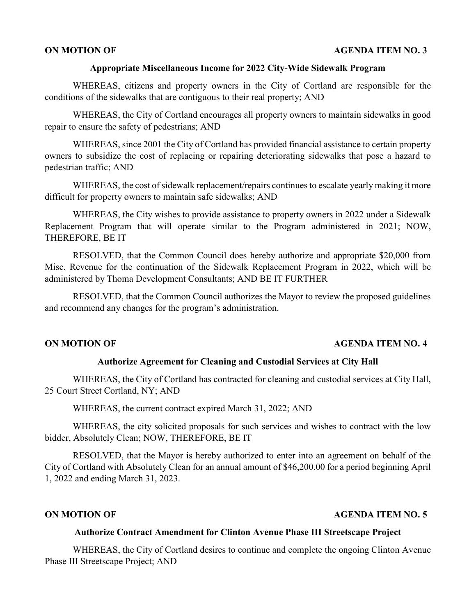### **ON MOTION OF AGENDA ITEM NO. 3**

### **Appropriate Miscellaneous Income for 2022 City-Wide Sidewalk Program**

WHEREAS, citizens and property owners in the City of Cortland are responsible for the conditions of the sidewalks that are contiguous to their real property; AND

WHEREAS, the City of Cortland encourages all property owners to maintain sidewalks in good repair to ensure the safety of pedestrians; AND

WHEREAS, since 2001 the City of Cortland has provided financial assistance to certain property owners to subsidize the cost of replacing or repairing deteriorating sidewalks that pose a hazard to pedestrian traffic; AND

WHEREAS, the cost of sidewalk replacement/repairs continues to escalate yearly making it more difficult for property owners to maintain safe sidewalks; AND

WHEREAS, the City wishes to provide assistance to property owners in 2022 under a Sidewalk Replacement Program that will operate similar to the Program administered in 2021; NOW, THEREFORE, BE IT

RESOLVED, that the Common Council does hereby authorize and appropriate \$20,000 from Misc. Revenue for the continuation of the Sidewalk Replacement Program in 2022, which will be administered by Thoma Development Consultants; AND BE IT FURTHER

RESOLVED, that the Common Council authorizes the Mayor to review the proposed guidelines and recommend any changes for the program's administration.

## **ON MOTION OF AGENDA ITEM NO. 4**

## **Authorize Agreement for Cleaning and Custodial Services at City Hall**

WHEREAS, the City of Cortland has contracted for cleaning and custodial services at City Hall, 25 Court Street Cortland, NY; AND

WHEREAS, the current contract expired March 31, 2022; AND

WHEREAS, the city solicited proposals for such services and wishes to contract with the low bidder, Absolutely Clean; NOW, THEREFORE, BE IT

RESOLVED, that the Mayor is hereby authorized to enter into an agreement on behalf of the City of Cortland with Absolutely Clean for an annual amount of \$46,200.00 for a period beginning April 1, 2022 and ending March 31, 2023.

## **ON MOTION OF AGENDA ITEM NO. 5**

### **Authorize Contract Amendment for Clinton Avenue Phase III Streetscape Project**

WHEREAS, the City of Cortland desires to continue and complete the ongoing Clinton Avenue Phase III Streetscape Project; AND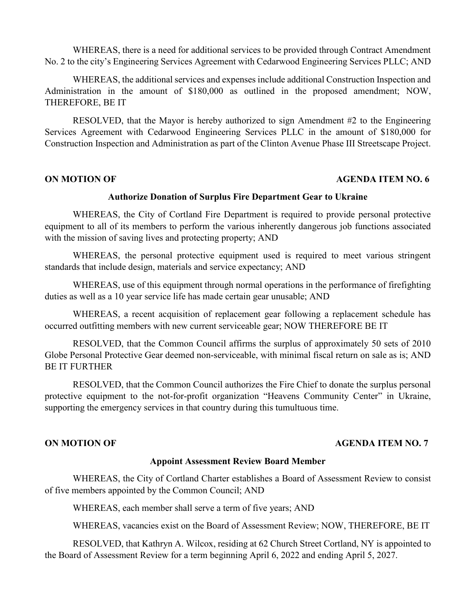WHEREAS, there is a need for additional services to be provided through Contract Amendment No. 2 to the city's Engineering Services Agreement with Cedarwood Engineering Services PLLC; AND

WHEREAS, the additional services and expenses include additional Construction Inspection and Administration in the amount of \$180,000 as outlined in the proposed amendment; NOW, THEREFORE, BE IT

RESOLVED, that the Mayor is hereby authorized to sign Amendment #2 to the Engineering Services Agreement with Cedarwood Engineering Services PLLC in the amount of \$180,000 for Construction Inspection and Administration as part of the Clinton Avenue Phase III Streetscape Project.

## **ON MOTION OF AGENDA ITEM NO. 6**

### **Authorize Donation of Surplus Fire Department Gear to Ukraine**

WHEREAS, the City of Cortland Fire Department is required to provide personal protective equipment to all of its members to perform the various inherently dangerous job functions associated with the mission of saving lives and protecting property; AND

WHEREAS, the personal protective equipment used is required to meet various stringent standards that include design, materials and service expectancy; AND

WHEREAS, use of this equipment through normal operations in the performance of firefighting duties as well as a 10 year service life has made certain gear unusable; AND

WHEREAS, a recent acquisition of replacement gear following a replacement schedule has occurred outfitting members with new current serviceable gear; NOW THEREFORE BE IT

RESOLVED, that the Common Council affirms the surplus of approximately 50 sets of 2010 Globe Personal Protective Gear deemed non-serviceable, with minimal fiscal return on sale as is; AND BE IT FURTHER

RESOLVED, that the Common Council authorizes the Fire Chief to donate the surplus personal protective equipment to the not-for-profit organization "Heavens Community Center" in Ukraine, supporting the emergency services in that country during this tumultuous time.

### **ON MOTION OF AGENDA ITEM NO. 7**

### **Appoint Assessment Review Board Member**

WHEREAS, the City of Cortland Charter establishes a Board of Assessment Review to consist of five members appointed by the Common Council; AND

WHEREAS, each member shall serve a term of five years; AND

WHEREAS, vacancies exist on the Board of Assessment Review; NOW, THEREFORE, BE IT

RESOLVED, that Kathryn A. Wilcox, residing at 62 Church Street Cortland, NY is appointed to the Board of Assessment Review for a term beginning April 6, 2022 and ending April 5, 2027.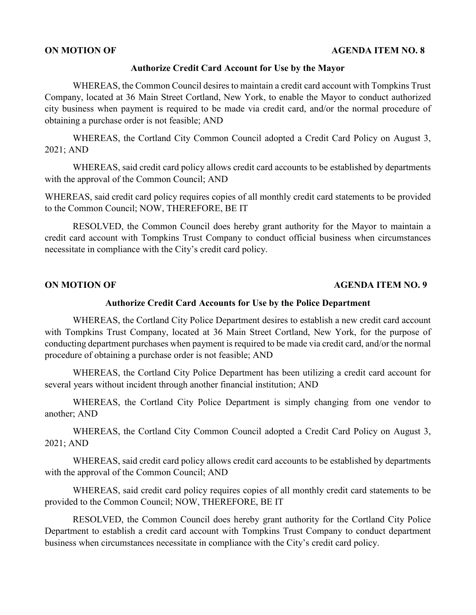## **Authorize Credit Card Account for Use by the Mayor**

WHEREAS, the Common Council desires to maintain a credit card account with Tompkins Trust Company, located at 36 Main Street Cortland, New York, to enable the Mayor to conduct authorized city business when payment is required to be made via credit card, and/or the normal procedure of obtaining a purchase order is not feasible; AND

WHEREAS, the Cortland City Common Council adopted a Credit Card Policy on August 3, 2021; AND

WHEREAS, said credit card policy allows credit card accounts to be established by departments with the approval of the Common Council; AND

WHEREAS, said credit card policy requires copies of all monthly credit card statements to be provided to the Common Council; NOW, THEREFORE, BE IT

RESOLVED, the Common Council does hereby grant authority for the Mayor to maintain a credit card account with Tompkins Trust Company to conduct official business when circumstances necessitate in compliance with the City's credit card policy.

## **ON MOTION OF AGENDA ITEM NO. 9**

## **Authorize Credit Card Accounts for Use by the Police Department**

WHEREAS, the Cortland City Police Department desires to establish a new credit card account with Tompkins Trust Company, located at 36 Main Street Cortland, New York, for the purpose of conducting department purchases when payment is required to be made via credit card, and/or the normal procedure of obtaining a purchase order is not feasible; AND

WHEREAS, the Cortland City Police Department has been utilizing a credit card account for several years without incident through another financial institution; AND

WHEREAS, the Cortland City Police Department is simply changing from one vendor to another; AND

WHEREAS, the Cortland City Common Council adopted a Credit Card Policy on August 3, 2021; AND

WHEREAS, said credit card policy allows credit card accounts to be established by departments with the approval of the Common Council; AND

WHEREAS, said credit card policy requires copies of all monthly credit card statements to be provided to the Common Council; NOW, THEREFORE, BE IT

RESOLVED, the Common Council does hereby grant authority for the Cortland City Police Department to establish a credit card account with Tompkins Trust Company to conduct department business when circumstances necessitate in compliance with the City's credit card policy.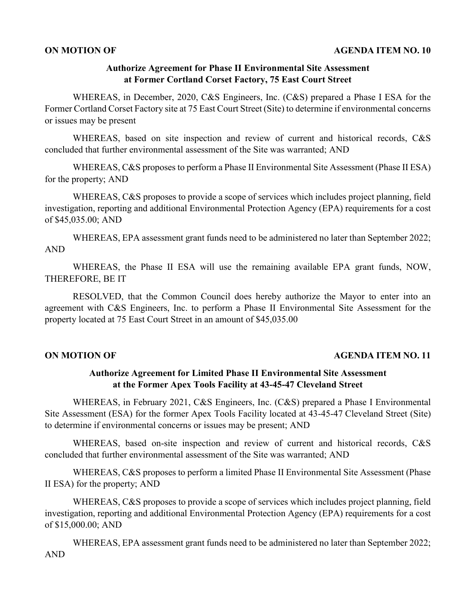## **Authorize Agreement for Phase II Environmental Site Assessment at Former Cortland Corset Factory, 75 East Court Street**

WHEREAS, in December, 2020, C&S Engineers, Inc. (C&S) prepared a Phase I ESA for the Former Cortland Corset Factory site at 75 East Court Street (Site) to determine if environmental concerns or issues may be present

WHEREAS, based on site inspection and review of current and historical records, C&S concluded that further environmental assessment of the Site was warranted; AND

WHEREAS, C&S proposes to perform a Phase II Environmental Site Assessment (Phase II ESA) for the property; AND

WHEREAS, C&S proposes to provide a scope of services which includes project planning, field investigation, reporting and additional Environmental Protection Agency (EPA) requirements for a cost of \$45,035.00; AND

WHEREAS, EPA assessment grant funds need to be administered no later than September 2022; AND

WHEREAS, the Phase II ESA will use the remaining available EPA grant funds, NOW, THEREFORE, BE IT

RESOLVED, that the Common Council does hereby authorize the Mayor to enter into an agreement with C&S Engineers, Inc. to perform a Phase II Environmental Site Assessment for the property located at 75 East Court Street in an amount of \$45,035.00

## **ON MOTION OF AGENDA ITEM NO. 11**

## **Authorize Agreement for Limited Phase II Environmental Site Assessment at the Former Apex Tools Facility at 43-45-47 Cleveland Street**

WHEREAS, in February 2021, C&S Engineers, Inc. (C&S) prepared a Phase I Environmental Site Assessment (ESA) for the former Apex Tools Facility located at 43-45-47 Cleveland Street (Site) to determine if environmental concerns or issues may be present; AND

WHEREAS, based on-site inspection and review of current and historical records, C&S concluded that further environmental assessment of the Site was warranted; AND

WHEREAS, C&S proposes to perform a limited Phase II Environmental Site Assessment (Phase II ESA) for the property; AND

WHEREAS, C&S proposes to provide a scope of services which includes project planning, field investigation, reporting and additional Environmental Protection Agency (EPA) requirements for a cost of \$15,000.00; AND

WHEREAS, EPA assessment grant funds need to be administered no later than September 2022; AND